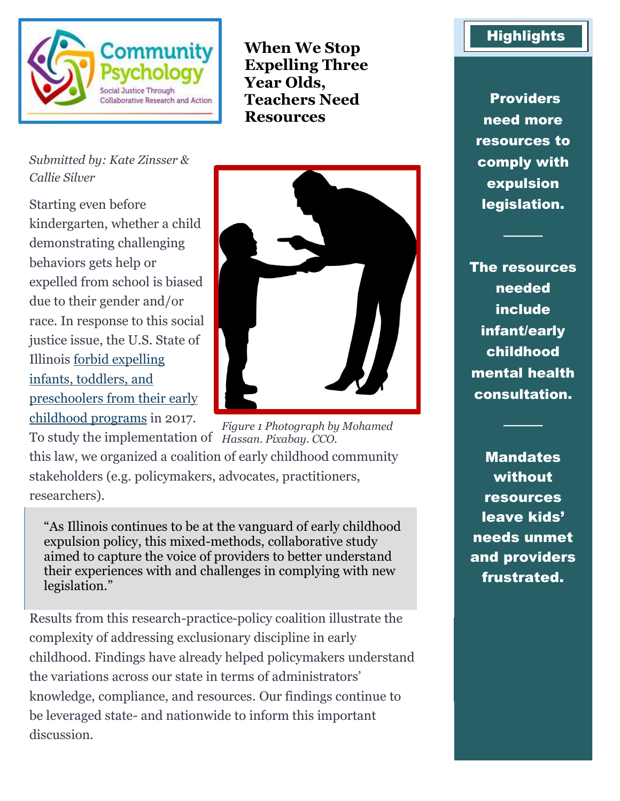

**When We Stop Expelling Three Year Olds, Teachers Need Resources** 

*Submitted by: Kate Zinsser & Callie Silver*

Starting even before kindergarten, whether a child demonstrating challenging behaviors gets help or expelled from school is biased due to their gender and/or race. In response to this social justice issue, the U.S. State of Illinois forbid [expelling](http://www.ilga.gov/legislation/publicacts/fulltext.asp?Name=100-0105)  [infants, toddlers, and](http://www.ilga.gov/legislation/publicacts/fulltext.asp?Name=100-0105)  [preschoolers from their early](http://www.ilga.gov/legislation/publicacts/fulltext.asp?Name=100-0105)  [childhood programs](http://www.ilga.gov/legislation/publicacts/fulltext.asp?Name=100-0105) in 2017.



To study the implementation of *Hassan. Pixabay. CCO.* this law, we organized a coalition of early childhood community stakeholders (e.g. policymakers, advocates, practitioners, researchers). *Figure 1 Photograph by Mohamed* 

"As Illinois continues to be at the vanguard of early childhood expulsion policy, this mixed-methods, collaborative study aimed to capture the voice of providers to better understand their experiences with and challenges in complying with new legislation."

Results from this research-practice-policy coalition illustrate the complexity of addressing exclusionary discipline in early childhood. Findings have already helped policymakers understand the variations across our state in terms of administrators' knowledge, compliance, and resources. Our findings continue to be leveraged state- and nationwide to inform this important discussion.

## **Highlights**

**Providers** need more resources to comply with expulsion legislation.

────

The resources needed include infant/early childhood mental health consultation.

**Mandates** without resources leave kids' needs unmet and providers frustrated.

────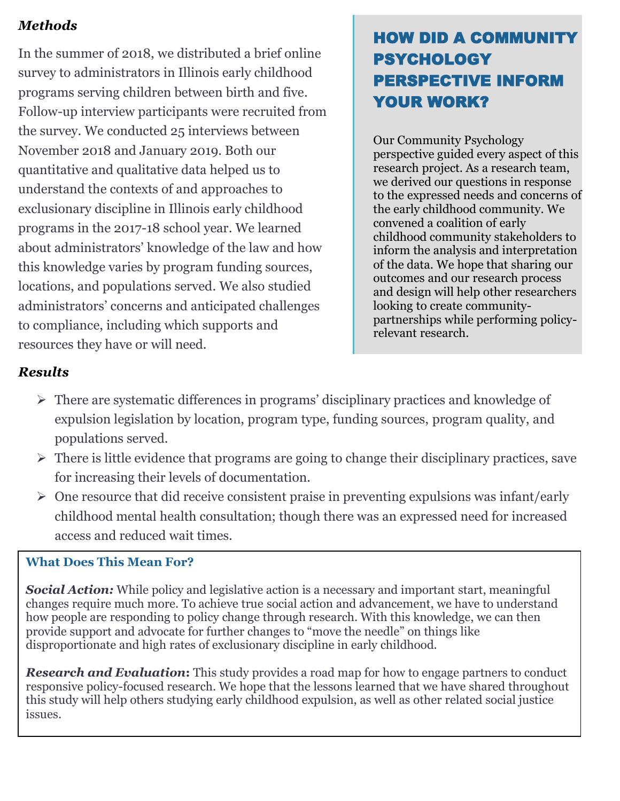### *Methods*

In the summer of 2018, we distributed a brief online survey to administrators in Illinois early childhood programs serving children between birth and five. Follow-up interview participants were recruited from the survey. We conducted 25 interviews between November 2018 and January 2019. Both our quantitative and qualitative data helped us to understand the contexts of and approaches to exclusionary discipline in Illinois early childhood programs in the 2017-18 school year. We learned about administrators' knowledge of the law and how this knowledge varies by program funding sources, locations, and populations served. We also studied administrators' concerns and anticipated challenges to compliance, including which supports and resources they have or will need.

# HOW DID A COMMUNITY PSYCHOLOGY PERSPECTIVE INFORM YOUR WORK?

Our Community Psychology perspective guided every aspect of this research project. As a research team, we derived our questions in response to the expressed needs and concerns of the early childhood community. We convened a coalition of early childhood community stakeholders to inform the analysis and interpretation of the data. We hope that sharing our outcomes and our research process and design will help other researchers looking to create communitypartnerships while performing policyrelevant research.

## *Results*

- ➢ There are systematic differences in programs' disciplinary practices and knowledge of expulsion legislation by location, program type, funding sources, program quality, and populations served.
- $\triangleright$  There is little evidence that programs are going to change their disciplinary practices, save for increasing their levels of documentation.
- ➢ One resource that did receive consistent praise in preventing expulsions was infant/early childhood mental health consultation; though there was an expressed need for increased access and reduced wait times.

#### **What Does This Mean For?**

*Social Action:* While policy and legislative action is a necessary and important start, meaningful changes require much more. To achieve true social action and advancement, we have to understand how people are responding to policy change through research. With this knowledge, we can then provide support and advocate for further changes to "move the needle" on things like disproportionate and high rates of exclusionary discipline in early childhood.

*Research and Evaluation***:** This study provides a road map for how to engage partners to conduct responsive policy-focused research. We hope that the lessons learned that we have shared throughout this study will help others studying early childhood expulsion, as well as other related social justice issues.